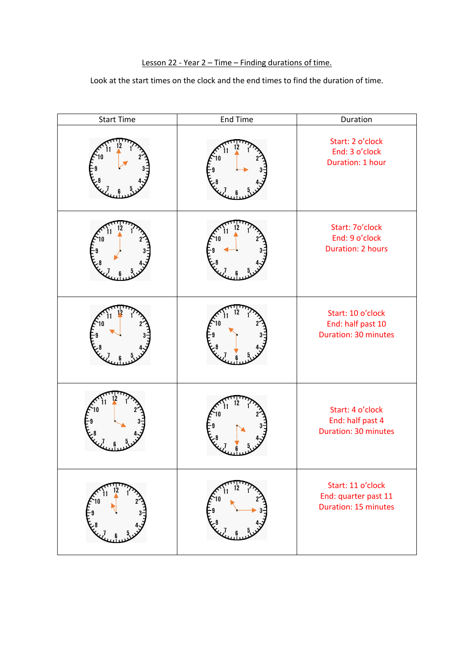# Lesson 22 - Year 2 - Time - Finding durations of time.

## Look at the start times on the clock and the end times to find the duration of time.

| <b>Start Time</b> | <b>End Time</b> | Duration                                                                 |
|-------------------|-----------------|--------------------------------------------------------------------------|
|                   |                 | Start: 2 o'clock<br>End: 3 o'clock<br>Duration: 1 hour                   |
|                   |                 | Start: 7o'clock<br>End: 9 o'clock<br><b>Duration: 2 hours</b>            |
|                   |                 | Start: 10 o'clock<br>End: half past 10<br>Duration: 30 minutes           |
|                   |                 | Start: 4 o'clock<br>End: half past 4<br><b>Duration: 30 minutes</b>      |
|                   |                 | Start: 11 o'clock<br>End: quarter past 11<br><b>Duration: 15 minutes</b> |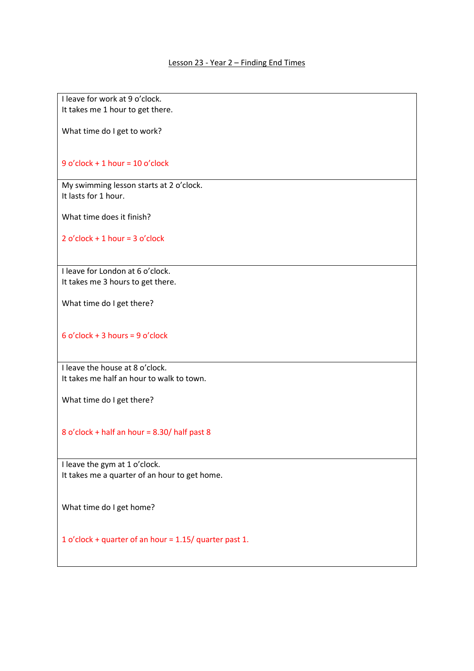I leave for work at 9 o'clock. It takes me 1 hour to get there.

What time do I get to work?

9 o'clock + 1 hour = 10 o'clock

My swimming lesson starts at 2 o'clock. It lasts for 1 hour.

What time does it finish?

2 o'clock + 1 hour = 3 o'clock

I leave for London at 6 o'clock. It takes me 3 hours to get there.

What time do I get there?

6 o'clock + 3 hours = 9 o'clock

I leave the house at 8 o'clock. It takes me half an hour to walk to town.

What time do I get there?

8 o'clock + half an hour = 8.30/ half past 8

I leave the gym at 1 o'clock. It takes me a quarter of an hour to get home.

What time do I get home?

1 o'clock + quarter of an hour = 1.15/ quarter past 1.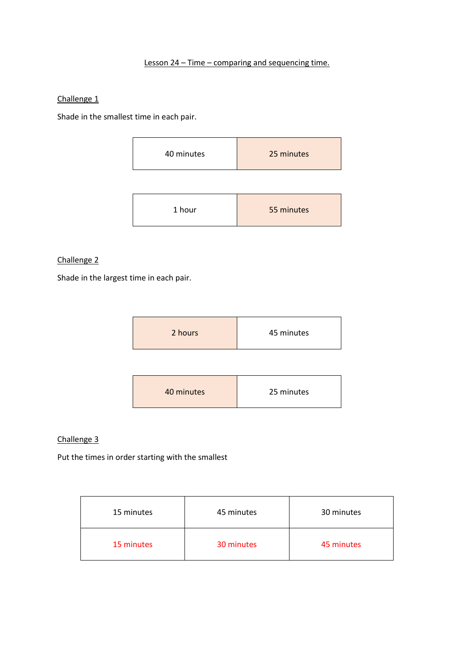## Lesson 24 – Time – comparing and sequencing time.

#### Challenge 1

Shade in the smallest time in each pair.

| 40 minutes | 25 minutes |
|------------|------------|
|------------|------------|

| 55 minutes<br>1 hour |
|----------------------|
|----------------------|

## Challenge 2

Shade in the largest time in each pair.

| 2 hours    | 45 minutes |  |
|------------|------------|--|
|            |            |  |
| 40 minutes | 25 minutes |  |

#### Challenge 3

Put the times in order starting with the smallest

| 15 minutes | 45 minutes | 30 minutes |
|------------|------------|------------|
| 15 minutes | 30 minutes | 45 minutes |